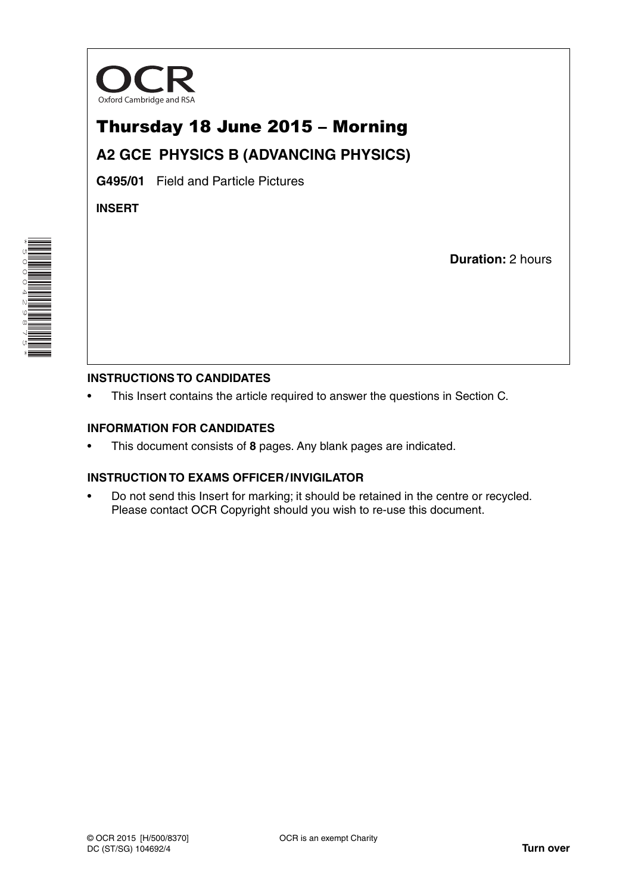

# Thursday 18 June 2015 – Morning

## **A2 GCE PHYSICS B (ADVANCING PHYSICS)**

**G495/01** Field and Particle Pictures

**INSERT**

\*5000429875\* 

**Duration:** 2 hours

### **INSTRUCTIONS TO CANDIDATES**

This Insert contains the article required to answer the questions in Section C.

#### **INFORMATION FOR CANDIDATES**

• This document consists of **8** pages. Any blank pages are indicated.

#### **INSTRUCTION TO EXAMS OFFICER / INVIGILATOR**

• Do not send this Insert for marking; it should be retained in the centre or recycled. Please contact OCR Copyright should you wish to re-use this document.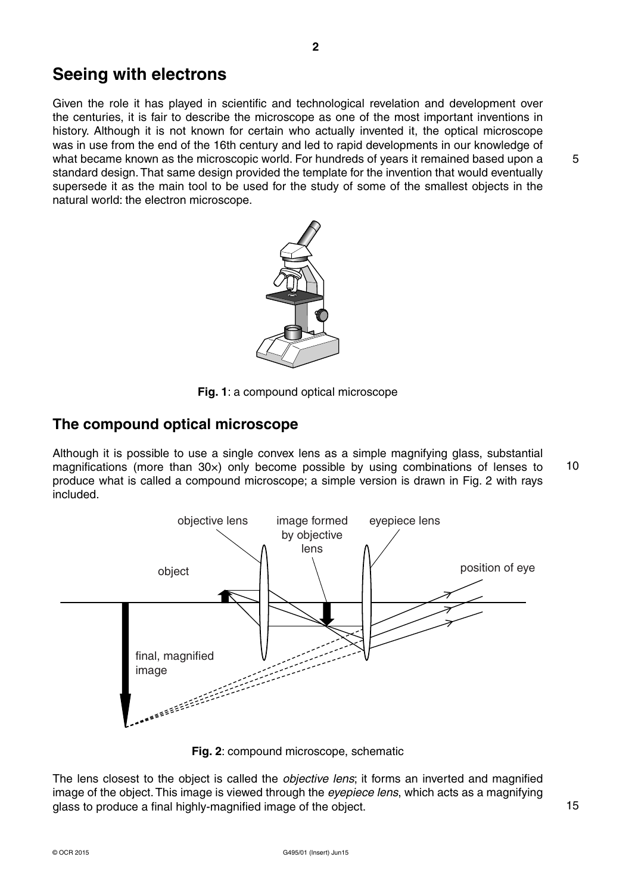Given the role it has played in scientific and technological revelation and development over the centuries, it is fair to describe the microscope as one of the most important inventions in history. Although it is not known for certain who actually invented it, the optical microscope was in use from the end of the 16th century and led to rapid developments in our knowledge of what became known as the microscopic world. For hundreds of years it remained based upon a standard design. That same design provided the template for the invention that would eventually supersede it as the main tool to be used for the study of some of the smallest objects in the natural world: the electron microscope.



**Fig. 1**: a compound optical microscope

### **The compound optical microscope**

Although it is possible to use a single convex lens as a simple magnifying glass, substantial magnifications (more than 30×) only become possible by using combinations of lenses to produce what is called a compound microscope; a simple version is drawn in Fig. 2 with rays included. 10



**Fig. 2**: compound microscope, schematic

The lens closest to the object is called the *objective lens*; it forms an inverted and magnified image of the object. This image is viewed through the *eyepiece lens*, which acts as a magnifying glass to produce a final highly-magnified image of the object.

5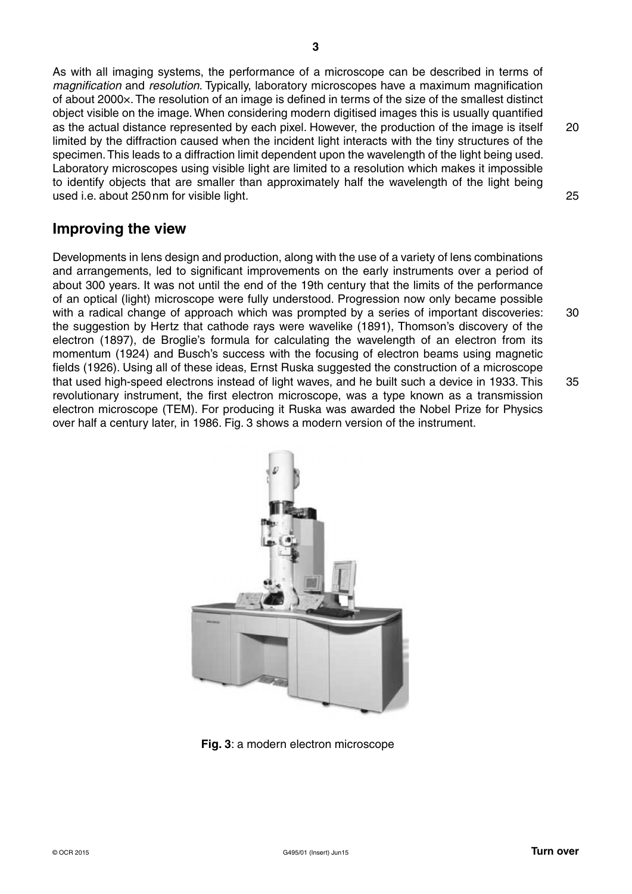As with all imaging systems, the performance of a microscope can be described in terms of *magnification* and *resolution*. Typically, laboratory microscopes have a maximum magnification of about 2000×. The resolution of an image is defined in terms of the size of the smallest distinct object visible on the image. When considering modern digitised images this is usually quantified as the actual distance represented by each pixel. However, the production of the image is itself limited by the diffraction caused when the incident light interacts with the tiny structures of the specimen. This leads to a diffraction limit dependent upon the wavelength of the light being used. Laboratory microscopes using visible light are limited to a resolution which makes it impossible to identify objects that are smaller than approximately half the wavelength of the light being used i.e. about 250 nm for visible light.

**3**

25

20

### **Improving the view**

Developments in lens design and production, along with the use of a variety of lens combinations and arrangements, led to significant improvements on the early instruments over a period of about 300 years. It was not until the end of the 19th century that the limits of the performance of an optical (light) microscope were fully understood. Progression now only became possible with a radical change of approach which was prompted by a series of important discoveries: the suggestion by Hertz that cathode rays were wavelike (1891), Thomson's discovery of the electron (1897), de Broglie's formula for calculating the wavelength of an electron from its momentum (1924) and Busch's success with the focusing of electron beams using magnetic fields (1926). Using all of these ideas, Ernst Ruska suggested the construction of a microscope that used high-speed electrons instead of light waves, and he built such a device in 1933. This revolutionary instrument, the first electron microscope, was a type known as a transmission electron microscope (TEM). For producing it Ruska was awarded the Nobel Prize for Physics over half a century later, in 1986. Fig. 3 shows a modern version of the instrument. 30 35

**Fig. 3**: a modern electron microscope

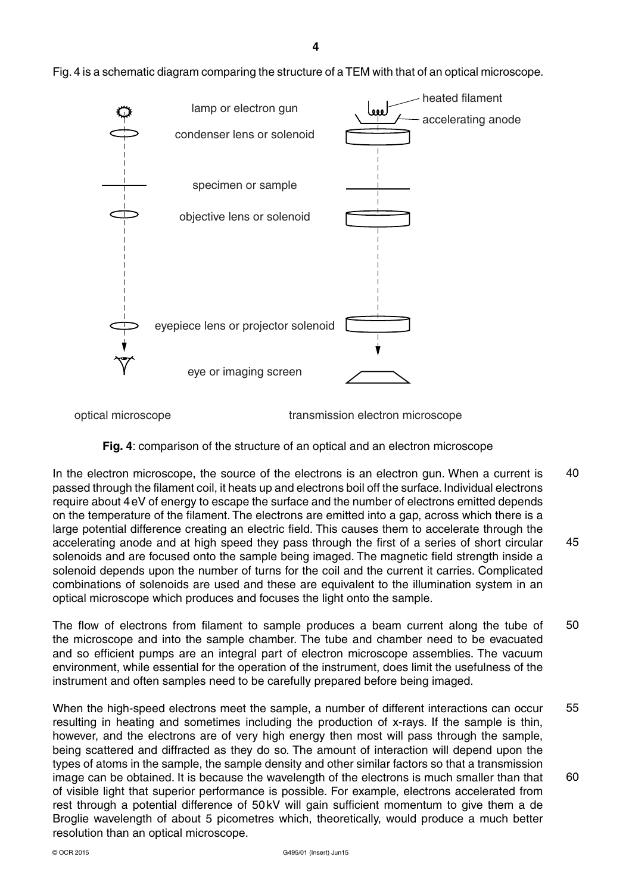Fig. 4 is a schematic diagram comparing the structure of a TEM with that of an optical microscope.



optical microscope transmission electron microscope

#### **Fig. 4**: comparison of the structure of an optical and an electron microscope

In the electron microscope, the source of the electrons is an electron gun. When a current is passed through the filament coil, it heats up and electrons boil off the surface. Individual electrons require about 4 eV of energy to escape the surface and the number of electrons emitted depends on the temperature of the filament. The electrons are emitted into a gap, across which there is a large potential difference creating an electric field. This causes them to accelerate through the accelerating anode and at high speed they pass through the first of a series of short circular solenoids and are focused onto the sample being imaged. The magnetic field strength inside a solenoid depends upon the number of turns for the coil and the current it carries. Complicated combinations of solenoids are used and these are equivalent to the illumination system in an optical microscope which produces and focuses the light onto the sample. 40 45

The flow of electrons from filament to sample produces a beam current along the tube of the microscope and into the sample chamber. The tube and chamber need to be evacuated and so efficient pumps are an integral part of electron microscope assemblies. The vacuum environment, while essential for the operation of the instrument, does limit the usefulness of the instrument and often samples need to be carefully prepared before being imaged. 50

When the high-speed electrons meet the sample, a number of different interactions can occur resulting in heating and sometimes including the production of x-rays. If the sample is thin, however, and the electrons are of very high energy then most will pass through the sample, being scattered and diffracted as they do so. The amount of interaction will depend upon the types of atoms in the sample, the sample density and other similar factors so that a transmission image can be obtained. It is because the wavelength of the electrons is much smaller than that of visible light that superior performance is possible. For example, electrons accelerated from rest through a potential difference of 50 kV will gain sufficient momentum to give them a de Broglie wavelength of about 5 picometres which, theoretically, would produce a much better resolution than an optical microscope. 55 60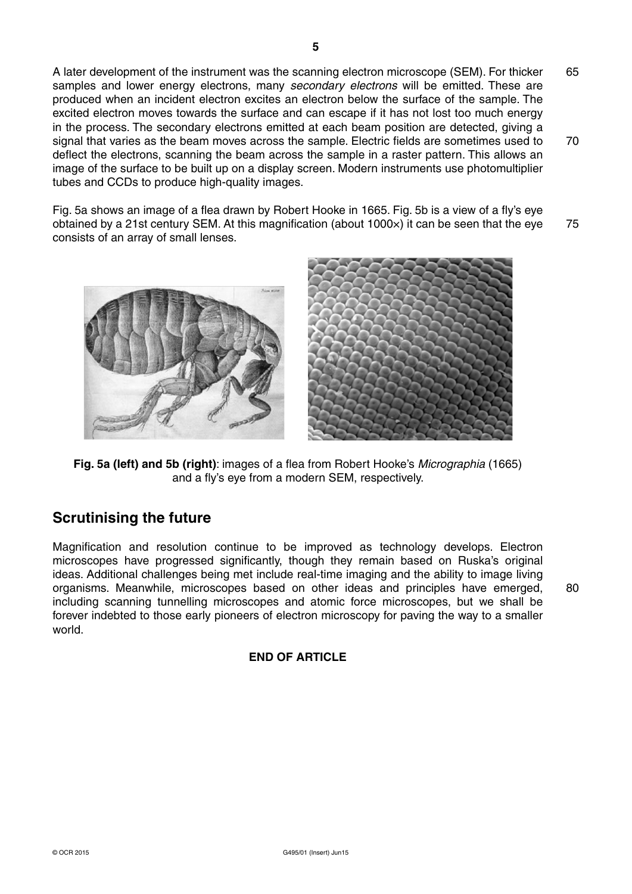A later development of the instrument was the scanning electron microscope (SEM). For thicker samples and lower energy electrons, many *secondary electrons* will be emitted. These are produced when an incident electron excites an electron below the surface of the sample. The excited electron moves towards the surface and can escape if it has not lost too much energy in the process. The secondary electrons emitted at each beam position are detected, giving a signal that varies as the beam moves across the sample. Electric fields are sometimes used to deflect the electrons, scanning the beam across the sample in a raster pattern. This allows an image of the surface to be built up on a display screen. Modern instruments use photomultiplier tubes and CCDs to produce high-quality images. 65 70

Fig. 5a shows an image of a flea drawn by Robert Hooke in 1665. Fig. 5b is a view of a fly's eye obtained by a 21st century SEM. At this magnification (about 1000×) it can be seen that the eye consists of an array of small lenses. 75



**Fig. 5a (left) and 5b (right)**: images of a flea from Robert Hooke's *Micrographia* (1665) and a fly's eye from a modern SEM, respectively.

### **Scrutinising the future**

Magnification and resolution continue to be improved as technology develops. Electron microscopes have progressed significantly, though they remain based on Ruska's original ideas. Additional challenges being met include real-time imaging and the ability to image living organisms. Meanwhile, microscopes based on other ideas and principles have emerged, including scanning tunnelling microscopes and atomic force microscopes, but we shall be forever indebted to those early pioneers of electron microscopy for paving the way to a smaller world.

#### **END OF ARTICLE**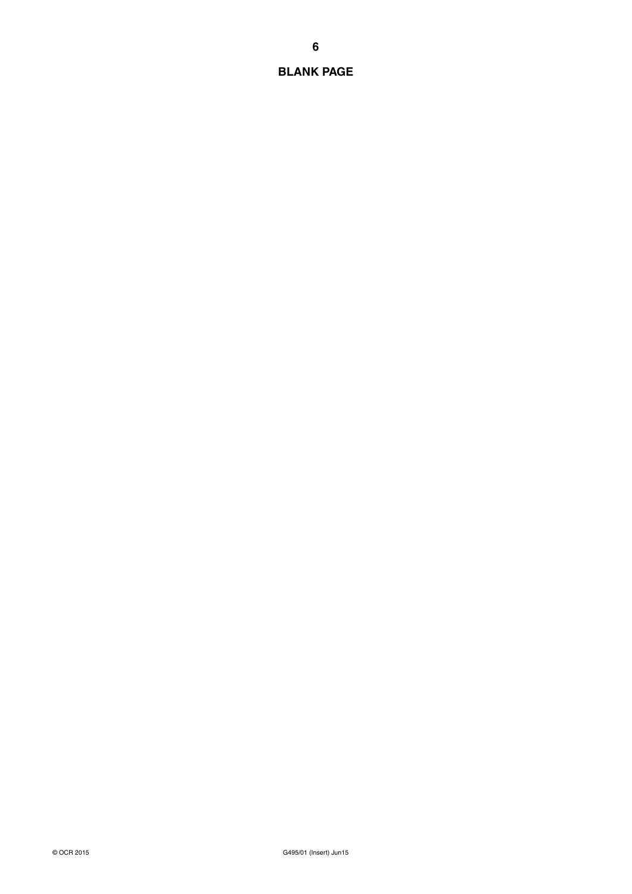#### **BLANK PAGE**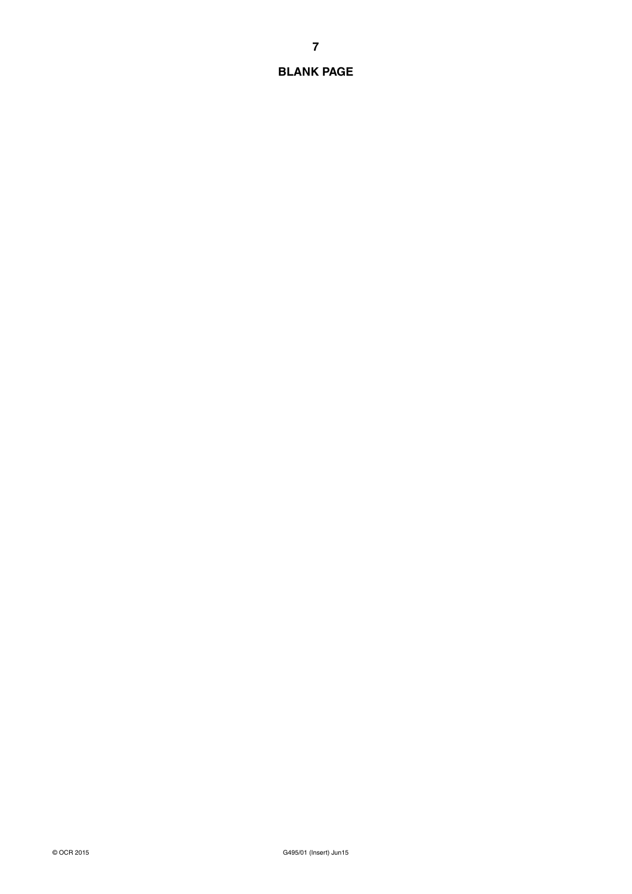#### **BLANK PAGE**